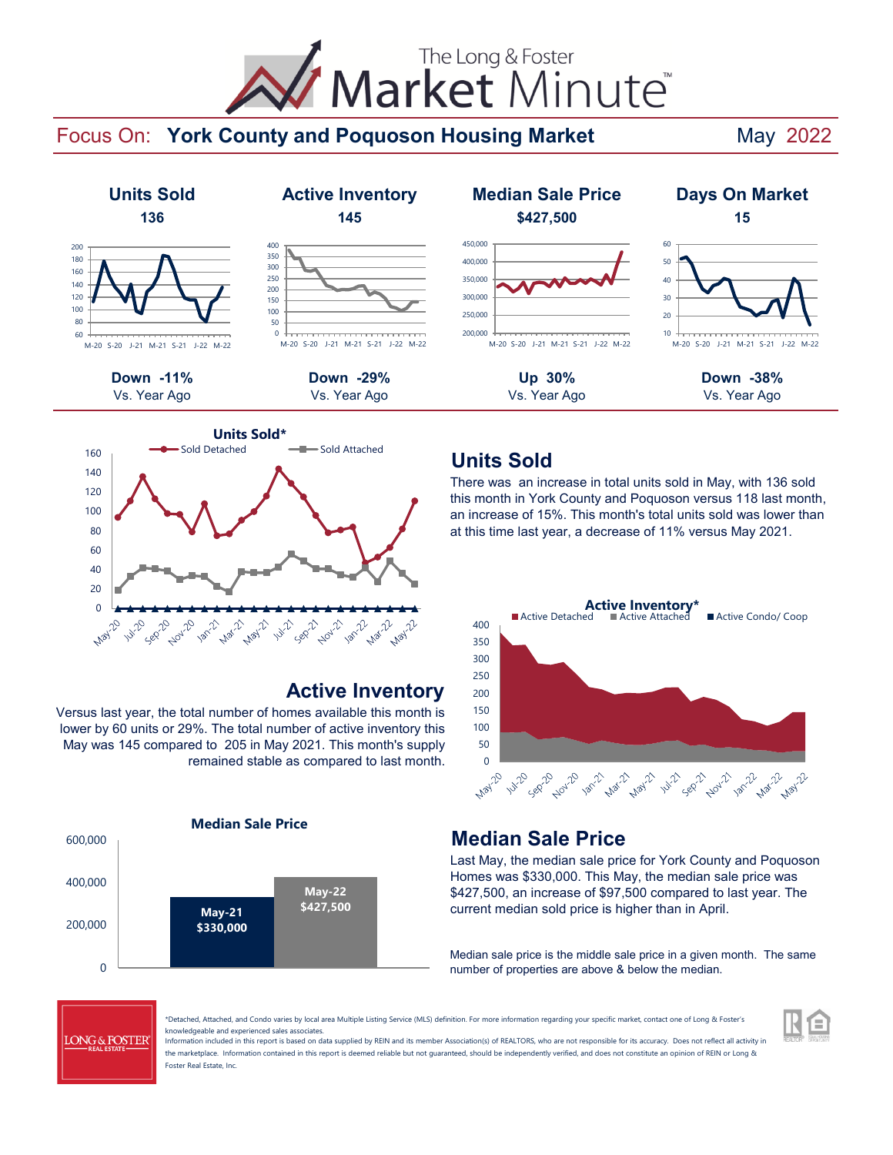# Market Minute The Long & Foster

## Focus On: York County and Poquoson Housing Market May 2022





## **Active Inventory**

Versus last year, the total number of homes available this month is lower by 60 units or 29%. The total number of active inventory this May was 145 compared to 205 in May 2021. This month's supply remained stable as compared to last month.



## **Units Sold**

There was an increase in total units sold in May, with 136 sold this month in York County and Poquoson versus 118 last month, an increase of 15%. This month's total units sold was lower than at this time last year, a decrease of 11% versus May 2021.



## **Median Sale Price**

Last May, the median sale price for York County and Poquoson Homes was \$330,000. This May, the median sale price was \$427,500, an increase of \$97,500 compared to last year. The current median sold price is higher than in April.

Median sale price is the middle sale price in a given month. The same number of properties are above & below the median.

E



\*Detached, Attached, and Condo varies by local area Multiple Listing Service (MLS) definition. For more information regarding your specific market, contact one of Long & Foster's knowledgeable and experienced sales associates.

Information included in this report is based on data supplied by REIN and its member Association(s) of REALTORS, who are not responsible for its accuracy. Does not reflect all activity in the marketplace. Information contained in this report is deemed reliable but not guaranteed, should be independently verified, and does not constitute an opinion of REIN or Long & Foster Real Estate, Inc.